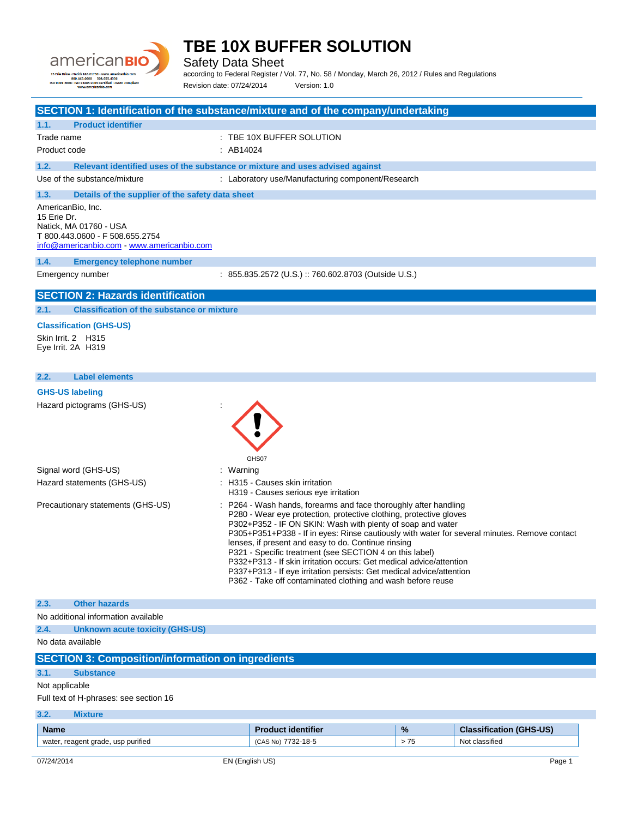

Safety Data Sheet

according to Federal Register / Vol. 77, No. 58 / Monday, March 26, 2012 / Rules and Regulations Revision date: 07/24/2014 Version: 1.0

| SECTION 1: Identification of the substance/mixture and of the company/undertaking                                                           |           |                                                                                                                                                                                                                                                                                                                                                                                                                                                                                                                                                                                                                                      |      |                                |
|---------------------------------------------------------------------------------------------------------------------------------------------|-----------|--------------------------------------------------------------------------------------------------------------------------------------------------------------------------------------------------------------------------------------------------------------------------------------------------------------------------------------------------------------------------------------------------------------------------------------------------------------------------------------------------------------------------------------------------------------------------------------------------------------------------------------|------|--------------------------------|
| <b>Product identifier</b><br>1.1.                                                                                                           |           |                                                                                                                                                                                                                                                                                                                                                                                                                                                                                                                                                                                                                                      |      |                                |
| Trade name                                                                                                                                  |           | : TBE 10X BUFFER SOLUTION                                                                                                                                                                                                                                                                                                                                                                                                                                                                                                                                                                                                            |      |                                |
| Product code                                                                                                                                | : AB14024 |                                                                                                                                                                                                                                                                                                                                                                                                                                                                                                                                                                                                                                      |      |                                |
| 1.2.                                                                                                                                        |           | Relevant identified uses of the substance or mixture and uses advised against                                                                                                                                                                                                                                                                                                                                                                                                                                                                                                                                                        |      |                                |
| Use of the substance/mixture                                                                                                                |           | : Laboratory use/Manufacturing component/Research                                                                                                                                                                                                                                                                                                                                                                                                                                                                                                                                                                                    |      |                                |
| 1.3.<br>Details of the supplier of the safety data sheet                                                                                    |           |                                                                                                                                                                                                                                                                                                                                                                                                                                                                                                                                                                                                                                      |      |                                |
| AmericanBio, Inc.<br>15 Erie Dr.<br>Natick, MA 01760 - USA<br>T 800.443.0600 - F 508.655.2754<br>info@americanbio.com - www.americanbio.com |           |                                                                                                                                                                                                                                                                                                                                                                                                                                                                                                                                                                                                                                      |      |                                |
| 1.4.<br><b>Emergency telephone number</b>                                                                                                   |           |                                                                                                                                                                                                                                                                                                                                                                                                                                                                                                                                                                                                                                      |      |                                |
| Emergency number                                                                                                                            |           | : 855.835.2572 (U.S.) :: 760.602.8703 (Outside U.S.)                                                                                                                                                                                                                                                                                                                                                                                                                                                                                                                                                                                 |      |                                |
| <b>SECTION 2: Hazards identification</b>                                                                                                    |           |                                                                                                                                                                                                                                                                                                                                                                                                                                                                                                                                                                                                                                      |      |                                |
| 2.1.<br><b>Classification of the substance or mixture</b>                                                                                   |           |                                                                                                                                                                                                                                                                                                                                                                                                                                                                                                                                                                                                                                      |      |                                |
| <b>Classification (GHS-US)</b><br>Skin Irrit. 2 H315<br>Eye Irrit. 2A H319                                                                  |           |                                                                                                                                                                                                                                                                                                                                                                                                                                                                                                                                                                                                                                      |      |                                |
| <b>Label elements</b><br>2.2.                                                                                                               |           |                                                                                                                                                                                                                                                                                                                                                                                                                                                                                                                                                                                                                                      |      |                                |
| <b>GHS-US labeling</b>                                                                                                                      |           |                                                                                                                                                                                                                                                                                                                                                                                                                                                                                                                                                                                                                                      |      |                                |
|                                                                                                                                             |           | GHS07                                                                                                                                                                                                                                                                                                                                                                                                                                                                                                                                                                                                                                |      |                                |
| Signal word (GHS-US)                                                                                                                        | : Warning |                                                                                                                                                                                                                                                                                                                                                                                                                                                                                                                                                                                                                                      |      |                                |
| Hazard statements (GHS-US)                                                                                                                  |           | : H315 - Causes skin irritation<br>H319 - Causes serious eye irritation                                                                                                                                                                                                                                                                                                                                                                                                                                                                                                                                                              |      |                                |
| Precautionary statements (GHS-US)                                                                                                           |           | : P264 - Wash hands, forearms and face thoroughly after handling<br>P280 - Wear eye protection, protective clothing, protective gloves<br>P302+P352 - IF ON SKIN: Wash with plenty of soap and water<br>P305+P351+P338 - If in eyes: Rinse cautiously with water for several minutes. Remove contact<br>lenses, if present and easy to do. Continue rinsing<br>P321 - Specific treatment (see SECTION 4 on this label)<br>P332+P313 - If skin irritation occurs: Get medical advice/attention<br>P337+P313 - If eye irritation persists: Get medical advice/attention<br>P362 - Take off contaminated clothing and wash before reuse |      |                                |
| 2.3.<br><b>Other hazards</b>                                                                                                                |           |                                                                                                                                                                                                                                                                                                                                                                                                                                                                                                                                                                                                                                      |      |                                |
| No additional information available                                                                                                         |           |                                                                                                                                                                                                                                                                                                                                                                                                                                                                                                                                                                                                                                      |      |                                |
| 2.4.<br><b>Unknown acute toxicity (GHS-US)</b>                                                                                              |           |                                                                                                                                                                                                                                                                                                                                                                                                                                                                                                                                                                                                                                      |      |                                |
| No data available                                                                                                                           |           |                                                                                                                                                                                                                                                                                                                                                                                                                                                                                                                                                                                                                                      |      |                                |
| <b>SECTION 3: Composition/information on ingredients</b>                                                                                    |           |                                                                                                                                                                                                                                                                                                                                                                                                                                                                                                                                                                                                                                      |      |                                |
| 3.1.<br><b>Substance</b>                                                                                                                    |           |                                                                                                                                                                                                                                                                                                                                                                                                                                                                                                                                                                                                                                      |      |                                |
| Not applicable                                                                                                                              |           |                                                                                                                                                                                                                                                                                                                                                                                                                                                                                                                                                                                                                                      |      |                                |
| Full text of H-phrases: see section 16                                                                                                      |           |                                                                                                                                                                                                                                                                                                                                                                                                                                                                                                                                                                                                                                      |      |                                |
| 3.2.<br><b>Mixture</b>                                                                                                                      |           |                                                                                                                                                                                                                                                                                                                                                                                                                                                                                                                                                                                                                                      |      |                                |
| <b>Name</b>                                                                                                                                 |           | <b>Product identifier</b>                                                                                                                                                                                                                                                                                                                                                                                                                                                                                                                                                                                                            | %    | <b>Classification (GHS-US)</b> |
| water, reagent grade, usp purified                                                                                                          |           | (CAS No) 7732-18-5                                                                                                                                                                                                                                                                                                                                                                                                                                                                                                                                                                                                                   | > 75 | Not classified                 |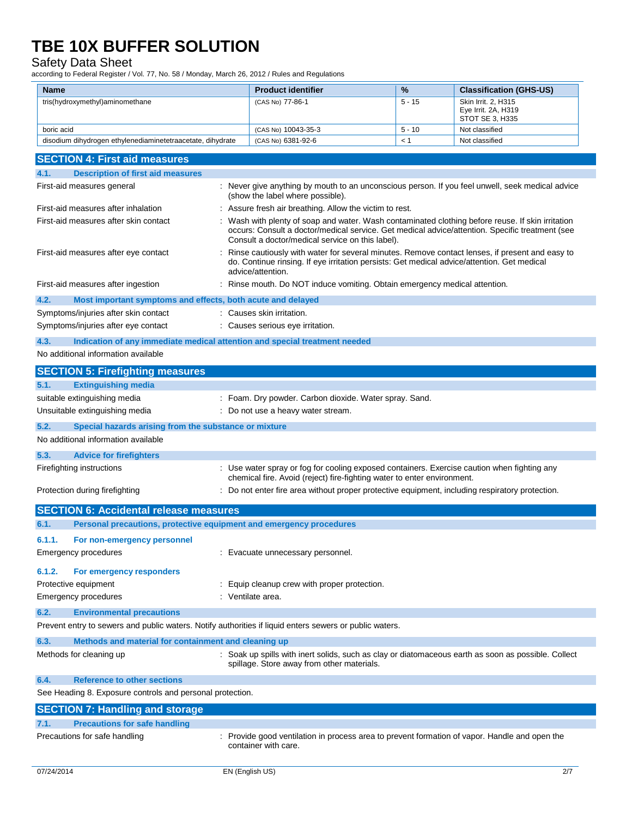## Safety Data Sheet

according to Federal Register / Vol. 77, No. 58 / Monday, March 26, 2012 / Rules and Regulations

| <b>Name</b>                                                                                                                                         | <b>Product identifier</b>                                                                                                                                                                                                                              | %        | <b>Classification (GHS-US)</b>         |
|-----------------------------------------------------------------------------------------------------------------------------------------------------|--------------------------------------------------------------------------------------------------------------------------------------------------------------------------------------------------------------------------------------------------------|----------|----------------------------------------|
| tris(hydroxymethyl)aminomethane                                                                                                                     | (CAS No) 77-86-1                                                                                                                                                                                                                                       | 5 - 15   | Skin Irrit. 2, H315                    |
|                                                                                                                                                     |                                                                                                                                                                                                                                                        |          | Eye Irrit. 2A, H319<br>STOT SE 3, H335 |
| boric acid                                                                                                                                          | (CAS No) 10043-35-3                                                                                                                                                                                                                                    | $5 - 10$ | Not classified                         |
| disodium dihydrogen ethylenediaminetetraacetate, dihydrate                                                                                          | (CAS No) 6381-92-6                                                                                                                                                                                                                                     | < 1      | Not classified                         |
| <b>SECTION 4: First aid measures</b>                                                                                                                |                                                                                                                                                                                                                                                        |          |                                        |
| <b>Description of first aid measures</b><br>4.1.                                                                                                    |                                                                                                                                                                                                                                                        |          |                                        |
| First-aid measures general                                                                                                                          | : Never give anything by mouth to an unconscious person. If you feel unwell, seek medical advice                                                                                                                                                       |          |                                        |
|                                                                                                                                                     | (show the label where possible).                                                                                                                                                                                                                       |          |                                        |
| First-aid measures after inhalation                                                                                                                 | Assure fresh air breathing. Allow the victim to rest.                                                                                                                                                                                                  |          |                                        |
| First-aid measures after skin contact                                                                                                               | Wash with plenty of soap and water. Wash contaminated clothing before reuse. If skin irritation<br>occurs: Consult a doctor/medical service. Get medical advice/attention. Specific treatment (see<br>Consult a doctor/medical service on this label). |          |                                        |
| First-aid measures after eye contact                                                                                                                | Rinse cautiously with water for several minutes. Remove contact lenses, if present and easy to<br>do. Continue rinsing. If eye irritation persists: Get medical advice/attention. Get medical<br>advice/attention.                                     |          |                                        |
| First-aid measures after ingestion                                                                                                                  | Rinse mouth. Do NOT induce vomiting. Obtain emergency medical attention.                                                                                                                                                                               |          |                                        |
| 4.2.<br>Most important symptoms and effects, both acute and delayed                                                                                 |                                                                                                                                                                                                                                                        |          |                                        |
| Symptoms/injuries after skin contact                                                                                                                | : Causes skin irritation.                                                                                                                                                                                                                              |          |                                        |
| Symptoms/injuries after eye contact                                                                                                                 | : Causes serious eye irritation.                                                                                                                                                                                                                       |          |                                        |
| 4.3.<br>Indication of any immediate medical attention and special treatment needed                                                                  |                                                                                                                                                                                                                                                        |          |                                        |
| No additional information available                                                                                                                 |                                                                                                                                                                                                                                                        |          |                                        |
| <b>SECTION 5: Firefighting measures</b>                                                                                                             |                                                                                                                                                                                                                                                        |          |                                        |
| <b>Extinguishing media</b><br>5.1.                                                                                                                  |                                                                                                                                                                                                                                                        |          |                                        |
| suitable extinguishing media                                                                                                                        | : Foam. Dry powder. Carbon dioxide. Water spray. Sand.                                                                                                                                                                                                 |          |                                        |
| Unsuitable extinguishing media                                                                                                                      | : Do not use a heavy water stream.                                                                                                                                                                                                                     |          |                                        |
| 5.2.<br>Special hazards arising from the substance or mixture                                                                                       |                                                                                                                                                                                                                                                        |          |                                        |
| No additional information available                                                                                                                 |                                                                                                                                                                                                                                                        |          |                                        |
| 5.3.<br><b>Advice for firefighters</b>                                                                                                              |                                                                                                                                                                                                                                                        |          |                                        |
| Firefighting instructions                                                                                                                           | Use water spray or fog for cooling exposed containers. Exercise caution when fighting any<br>chemical fire. Avoid (reject) fire-fighting water to enter environment.                                                                                   |          |                                        |
| Protection during firefighting                                                                                                                      | : Do not enter fire area without proper protective equipment, including respiratory protection.                                                                                                                                                        |          |                                        |
| <b>SECTION 6: Accidental release measures</b>                                                                                                       |                                                                                                                                                                                                                                                        |          |                                        |
| 6.1.<br>Personal precautions, protective equipment and emergency procedures                                                                         |                                                                                                                                                                                                                                                        |          |                                        |
| For non-emergency personnel<br>6.1.1.                                                                                                               |                                                                                                                                                                                                                                                        |          |                                        |
| <b>Emergency procedures</b>                                                                                                                         | : Evacuate unnecessary personnel.                                                                                                                                                                                                                      |          |                                        |
| 6.1.2.<br>For emergency responders                                                                                                                  |                                                                                                                                                                                                                                                        |          |                                        |
| Protective equipment                                                                                                                                | : Equip cleanup crew with proper protection.                                                                                                                                                                                                           |          |                                        |
| <b>Emergency procedures</b>                                                                                                                         | : Ventilate area.                                                                                                                                                                                                                                      |          |                                        |
|                                                                                                                                                     |                                                                                                                                                                                                                                                        |          |                                        |
| 6.2.<br><b>Environmental precautions</b><br>Prevent entry to sewers and public waters. Notify authorities if liquid enters sewers or public waters. |                                                                                                                                                                                                                                                        |          |                                        |
|                                                                                                                                                     |                                                                                                                                                                                                                                                        |          |                                        |
| Methods and material for containment and cleaning up<br>6.3.                                                                                        |                                                                                                                                                                                                                                                        |          |                                        |
| Methods for cleaning up                                                                                                                             | : Soak up spills with inert solids, such as clay or diatomaceous earth as soon as possible. Collect<br>spillage. Store away from other materials.                                                                                                      |          |                                        |
| 6.4.<br><b>Reference to other sections</b>                                                                                                          |                                                                                                                                                                                                                                                        |          |                                        |
| See Heading 8. Exposure controls and personal protection.                                                                                           |                                                                                                                                                                                                                                                        |          |                                        |
| <b>SECTION 7: Handling and storage</b>                                                                                                              |                                                                                                                                                                                                                                                        |          |                                        |
| <b>Precautions for safe handling</b><br>7.1.                                                                                                        |                                                                                                                                                                                                                                                        |          |                                        |
| Precautions for safe handling                                                                                                                       | : Provide good ventilation in process area to prevent formation of vapor. Handle and open the<br>container with care.                                                                                                                                  |          |                                        |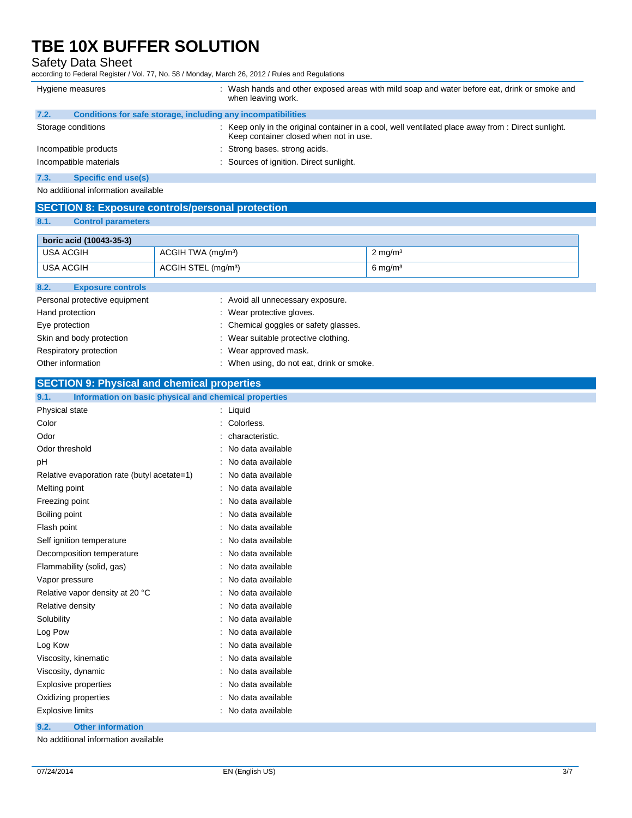## Safety Data Sheet

according to Federal Register / Vol. 77, No. 58 / Monday, March 26, 2012 / Rules and Regulations

| Hygiene measures                                                     | : Wash hands and other exposed areas with mild soap and water before eat, drink or smoke and<br>when leaving work.                            |
|----------------------------------------------------------------------|-----------------------------------------------------------------------------------------------------------------------------------------------|
| 7.2.<br>Conditions for safe storage, including any incompatibilities |                                                                                                                                               |
| Storage conditions                                                   | : Keep only in the original container in a cool, well ventilated place away from : Direct sunlight.<br>Keep container closed when not in use. |
| Incompatible products                                                | : Strong bases, strong acids.                                                                                                                 |
| Incompatible materials                                               | : Sources of ignition. Direct sunlight.                                                                                                       |
| 7.3.<br>Specific end use(s)                                          |                                                                                                                                               |

No additional information available

## **SECTION 8: Exposure controls/personal protection**

### **8.1. Control parameters**

| boric acid (10043-35-3)          |                                   |                    |
|----------------------------------|-----------------------------------|--------------------|
| USA ACGIH                        | ACGIH TWA (mg/m <sup>3</sup> )    | $2 \text{ mg/m}^3$ |
| USA ACGIH                        | ACGIH STEL (mg/m <sup>3</sup> )   | $6 \text{ mg/m}^3$ |
| 8.2.<br><b>Exposure controls</b> |                                   |                    |
| Personal protective equipment    | : Avoid all unnecessary exposure. |                    |

| Property protocity organisms. |                                           |
|-------------------------------|-------------------------------------------|
| Hand protection               | : Wear protective gloves.                 |
| Eye protection                | : Chemical goggles or safety glasses.     |
| Skin and body protection      | : Wear suitable protective clothing.      |
| Respiratory protection        | : Wear approved mask.                     |
| Other information             | : When using, do not eat, drink or smoke. |

### **SECTION 9: Physical and chemical properties**

| 9.1.<br>Information on basic physical and chemical properties |                   |
|---------------------------------------------------------------|-------------------|
| Physical state                                                | Liquid            |
| Color                                                         | Colorless.        |
| Odor                                                          | characteristic.   |
| Odor threshold                                                | No data available |
| рH                                                            | No data available |
| Relative evaporation rate (butyl acetate=1)                   | No data available |
| Melting point                                                 | No data available |
| Freezing point                                                | No data available |
| Boiling point                                                 | No data available |
| Flash point                                                   | No data available |
| Self ignition temperature                                     | No data available |
| Decomposition temperature                                     | No data available |
| Flammability (solid, gas)                                     | No data available |
| Vapor pressure                                                | No data available |
| Relative vapor density at 20 °C                               | No data available |
| Relative density                                              | No data available |
| Solubility                                                    | No data available |
| Log Pow                                                       | No data available |
| Log Kow                                                       | No data available |
| Viscosity, kinematic                                          | No data available |
| Viscosity, dynamic                                            | No data available |
| <b>Explosive properties</b>                                   | No data available |
| Oxidizing properties                                          | No data available |
| <b>Explosive limits</b>                                       | No data available |

### **9.2. Other information**

No additional information available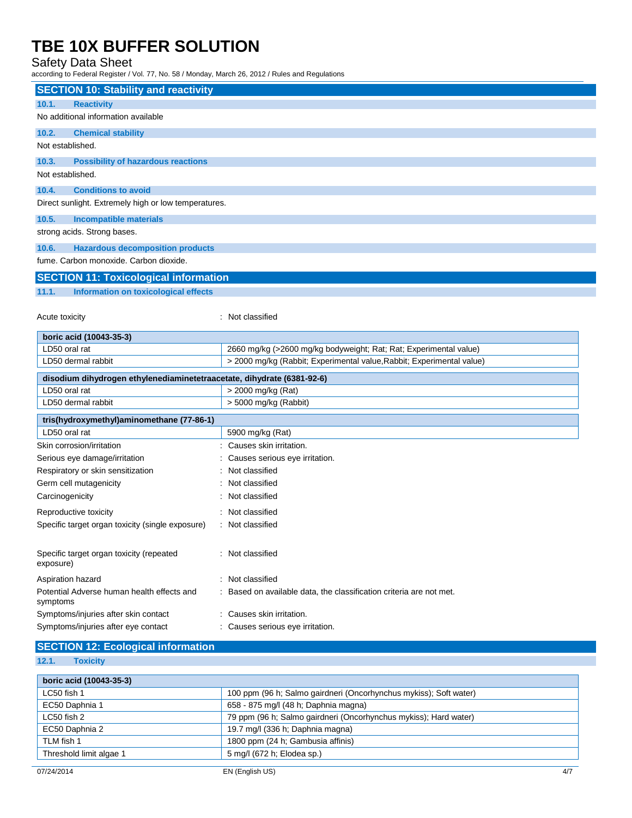## Safety Data Sheet

according to Federal Register / Vol. 77, No. 58 / Monday, March 26, 2012 / Rules and Regulations

| <b>SECTION 10: Stability and reactivity</b>                            |                                                                       |  |
|------------------------------------------------------------------------|-----------------------------------------------------------------------|--|
| 10.1.<br><b>Reactivity</b>                                             |                                                                       |  |
| No additional information available                                    |                                                                       |  |
| 10.2.<br><b>Chemical stability</b>                                     |                                                                       |  |
| Not established.                                                       |                                                                       |  |
| 10.3.<br><b>Possibility of hazardous reactions</b>                     |                                                                       |  |
| Not established.                                                       |                                                                       |  |
| 10.4.<br><b>Conditions to avoid</b>                                    |                                                                       |  |
| Direct sunlight. Extremely high or low temperatures.                   |                                                                       |  |
| 10.5.<br><b>Incompatible materials</b>                                 |                                                                       |  |
| strong acids. Strong bases.                                            |                                                                       |  |
| 10.6.<br><b>Hazardous decomposition products</b>                       |                                                                       |  |
| fume. Carbon monoxide. Carbon dioxide.                                 |                                                                       |  |
| <b>SECTION 11: Toxicological information</b>                           |                                                                       |  |
| 11.1.<br>Information on toxicological effects                          |                                                                       |  |
|                                                                        |                                                                       |  |
| Acute toxicity                                                         | : Not classified                                                      |  |
| boric acid (10043-35-3)                                                |                                                                       |  |
| LD50 oral rat                                                          | 2660 mg/kg (>2600 mg/kg bodyweight; Rat; Rat; Experimental value)     |  |
| LD50 dermal rabbit                                                     | > 2000 mg/kg (Rabbit; Experimental value, Rabbit; Experimental value) |  |
| disodium dihydrogen ethylenediaminetetraacetate, dihydrate (6381-92-6) |                                                                       |  |
| LD50 oral rat                                                          | > 2000 mg/kg (Rat)                                                    |  |
| LD50 dermal rabbit                                                     | > 5000 mg/kg (Rabbit)                                                 |  |
| tris(hydroxymethyl)aminomethane (77-86-1)                              |                                                                       |  |
| LD50 oral rat                                                          | 5900 mg/kg (Rat)                                                      |  |
| Skin corrosion/irritation                                              | Causes skin irritation.                                               |  |
| Serious eye damage/irritation                                          | Causes serious eye irritation.                                        |  |
| Respiratory or skin sensitization                                      | Not classified                                                        |  |
| Germ cell mutagenicity                                                 | Not classified                                                        |  |
| Carcinogenicity                                                        | Not classified                                                        |  |
| Reproductive toxicity                                                  | : Not classified                                                      |  |
| Specific target organ toxicity (single exposure)                       | : Not classified                                                      |  |
|                                                                        |                                                                       |  |
| Specific target organ toxicity (repeated<br>exposure)                  | : Not classified                                                      |  |
| Aspiration hazard                                                      | : Not classified                                                      |  |
| Potential Adverse human health effects and<br>symptoms                 | : Based on available data, the classification criteria are not met.   |  |
| Symptoms/injuries after skin contact                                   | : Causes skin irritation.                                             |  |
| Symptoms/injuries after eye contact                                    | Causes serious eye irritation.                                        |  |
| $Q = Q + (Q + 1)$ and $Q = 1$ and $Q = 1$ and $Q = 1$                  |                                                                       |  |

#### **SECTION 12: Ecological information**

## **12.1. Toxicity**

| boric acid (10043-35-3) |                                                                   |  |
|-------------------------|-------------------------------------------------------------------|--|
| LC50 fish 1             | 100 ppm (96 h; Salmo gairdneri (Oncorhynchus mykiss); Soft water) |  |
| EC50 Daphnia 1          | 658 - 875 mg/l (48 h; Daphnia magna)                              |  |
| LC50 fish 2             | 79 ppm (96 h; Salmo gairdneri (Oncorhynchus mykiss); Hard water)  |  |
| EC50 Daphnia 2          | 19.7 mg/l (336 h; Daphnia magna)                                  |  |
| TLM fish 1              | 1800 ppm (24 h; Gambusia affinis)                                 |  |
| Threshold limit algae 1 | 5 mg/l (672 h; Elodea sp.)                                        |  |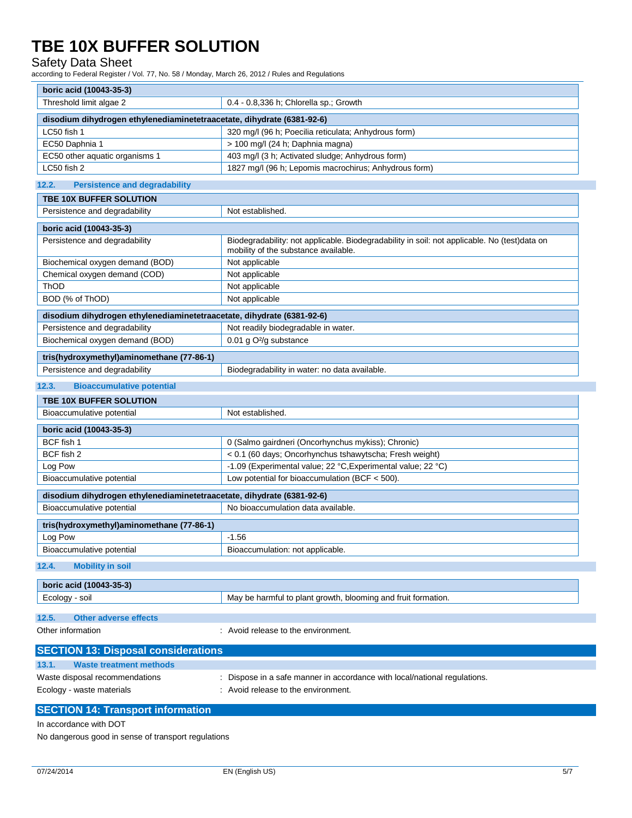## Safety Data Sheet

according to Federal Register / Vol. 77, No. 58 / Monday, March 26, 2012 / Rules and Regulations

| boric acid (10043-35-3)                                                                                 |                                                                                                                                      |  |
|---------------------------------------------------------------------------------------------------------|--------------------------------------------------------------------------------------------------------------------------------------|--|
| Threshold limit algae 2                                                                                 | 0.4 - 0.8,336 h; Chlorella sp.; Growth                                                                                               |  |
| disodium dihydrogen ethylenediaminetetraacetate, dihydrate (6381-92-6)                                  |                                                                                                                                      |  |
| LC50 fish 1                                                                                             | 320 mg/l (96 h; Poecilia reticulata; Anhydrous form)                                                                                 |  |
| EC50 Daphnia 1                                                                                          | > 100 mg/l (24 h; Daphnia magna)                                                                                                     |  |
| EC50 other aquatic organisms 1                                                                          | 403 mg/l (3 h; Activated sludge; Anhydrous form)                                                                                     |  |
| LC50 fish 2                                                                                             | 1827 mg/l (96 h; Lepomis macrochirus; Anhydrous form)                                                                                |  |
|                                                                                                         |                                                                                                                                      |  |
| 12.2.<br><b>Persistence and degradability</b>                                                           |                                                                                                                                      |  |
| <b>TBE 10X BUFFER SOLUTION</b>                                                                          |                                                                                                                                      |  |
| Persistence and degradability                                                                           | Not established.                                                                                                                     |  |
| boric acid (10043-35-3)                                                                                 |                                                                                                                                      |  |
| Persistence and degradability                                                                           | Biodegradability: not applicable. Biodegradability in soil: not applicable. No (test)data on<br>mobility of the substance available. |  |
| Biochemical oxygen demand (BOD)                                                                         | Not applicable                                                                                                                       |  |
| Chemical oxygen demand (COD)                                                                            | Not applicable                                                                                                                       |  |
| ThOD                                                                                                    | Not applicable                                                                                                                       |  |
| BOD (% of ThOD)                                                                                         | Not applicable                                                                                                                       |  |
|                                                                                                         |                                                                                                                                      |  |
| disodium dihydrogen ethylenediaminetetraacetate, dihydrate (6381-92-6)<br>Persistence and degradability | Not readily biodegradable in water.                                                                                                  |  |
|                                                                                                         |                                                                                                                                      |  |
| Biochemical oxygen demand (BOD)                                                                         | 0.01 g O <sup>2</sup> /g substance                                                                                                   |  |
| tris(hydroxymethyl)aminomethane (77-86-1)                                                               |                                                                                                                                      |  |
| Persistence and degradability                                                                           | Biodegradability in water: no data available.                                                                                        |  |
| 12.3.<br><b>Bioaccumulative potential</b>                                                               |                                                                                                                                      |  |
| TBE 10X BUFFER SOLUTION                                                                                 |                                                                                                                                      |  |
| Bioaccumulative potential                                                                               | Not established.                                                                                                                     |  |
| boric acid (10043-35-3)                                                                                 |                                                                                                                                      |  |
| BCF fish 1                                                                                              | 0 (Salmo gairdneri (Oncorhynchus mykiss); Chronic)                                                                                   |  |
| BCF fish 2                                                                                              | < 0.1 (60 days; Oncorhynchus tshawytscha; Fresh weight)                                                                              |  |
| Log Pow                                                                                                 | -1.09 (Experimental value; 22 °C, Experimental value; 22 °C)                                                                         |  |
| Bioaccumulative potential                                                                               | Low potential for bioaccumulation (BCF < 500).                                                                                       |  |
|                                                                                                         |                                                                                                                                      |  |
| disodium dihydrogen ethylenediaminetetraacetate, dihydrate (6381-92-6)                                  |                                                                                                                                      |  |
| Bioaccumulative potential<br>No bioaccumulation data available.                                         |                                                                                                                                      |  |
| tris(hydroxymethyl)aminomethane (77-86-1)                                                               |                                                                                                                                      |  |
| Log Pow                                                                                                 | $-1.56$                                                                                                                              |  |
| <b>Bioaccumulative potential</b>                                                                        | Bioaccumulation: not applicable.                                                                                                     |  |
| 12.4.<br><b>Mobility in soil</b>                                                                        |                                                                                                                                      |  |
| boric acid (10043-35-3)                                                                                 |                                                                                                                                      |  |
| Ecology - soil                                                                                          | May be harmful to plant growth, blooming and fruit formation.                                                                        |  |
|                                                                                                         |                                                                                                                                      |  |
| 12.5.<br><b>Other adverse effects</b>                                                                   |                                                                                                                                      |  |
| Other information                                                                                       | : Avoid release to the environment.                                                                                                  |  |
| <b>SECTION 13: Disposal considerations</b>                                                              |                                                                                                                                      |  |
| 13.1.<br><b>Waste treatment methods</b>                                                                 |                                                                                                                                      |  |
| Waste disposal recommendations                                                                          | Dispose in a safe manner in accordance with local/national regulations.                                                              |  |
| Ecology - waste materials                                                                               | : Avoid release to the environment.                                                                                                  |  |
|                                                                                                         |                                                                                                                                      |  |
| <b>SECTION 14: Transport information</b>                                                                |                                                                                                                                      |  |

No dangerous good in sense of transport regulations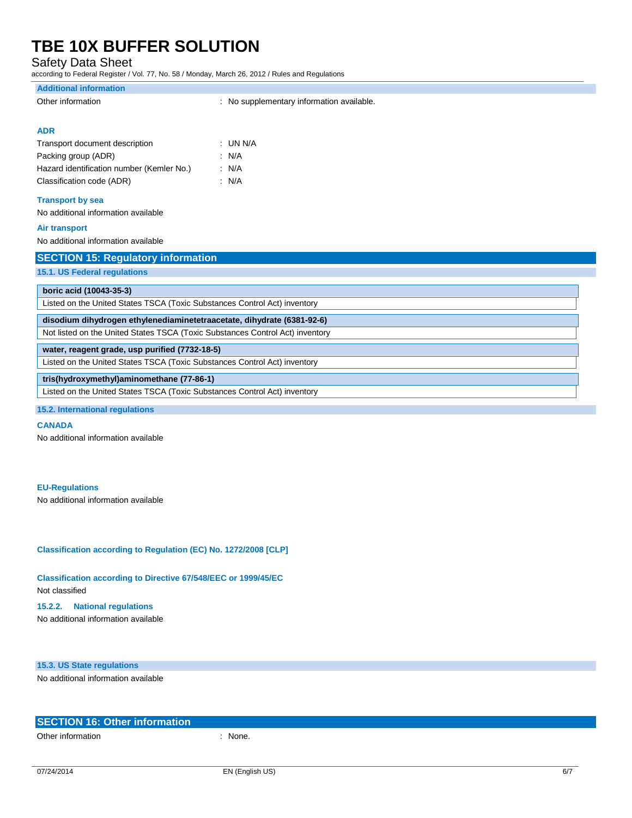Safety Data Sheet

according to Federal Register / Vol. 77, No. 58 / Monday, March 26, 2012 / Rules and Regulations

#### **Additional information**

| Other information |  |
|-------------------|--|
|                   |  |

Other information **contains the contract of the Contract Contract Contract Contract Contract Contract Contract Contract Contract Contract Contract Contract Contract Contract Contract Contract Contract Contract Contract Con** 

#### **ADR**

| Transport document description            | : UN N/A |
|-------------------------------------------|----------|
| Packing group (ADR)                       | : N/A    |
| Hazard identification number (Kemler No.) | : N/A    |
| Classification code (ADR)                 | : N/A    |

## **Transport by sea**

No additional information available

#### **Air transport**

No additional information available

| <b>SECTION 15: Regulatory information</b>                                     |
|-------------------------------------------------------------------------------|
| 15.1. US Federal regulations                                                  |
|                                                                               |
| boric acid (10043-35-3)                                                       |
| Listed on the United States TSCA (Toxic Substances Control Act) inventory     |
| disodium dihydrogen ethylenediaminetetraacetate, dihydrate (6381-92-6)        |
| Not listed on the United States TSCA (Toxic Substances Control Act) inventory |
| water, reagent grade, usp purified (7732-18-5)                                |
| Listed on the United States TSCA (Toxic Substances Control Act) inventory     |
| tris(hydroxymethyl)aminomethane (77-86-1)                                     |
| Listed on the United States TSCA (Toxic Substances Control Act) inventory     |
| <b>15.2. International regulations</b>                                        |

#### **CANADA**

No additional information available

#### **EU-Regulations**

No additional information available

**Classification according to Regulation (EC) No. 1272/2008 [CLP]**

**Classification according to Directive 67/548/EEC or 1999/45/EC** Not classified

#### **15.2.2. National regulations**

No additional information available

### **15.3. US State regulations**

No additional information available